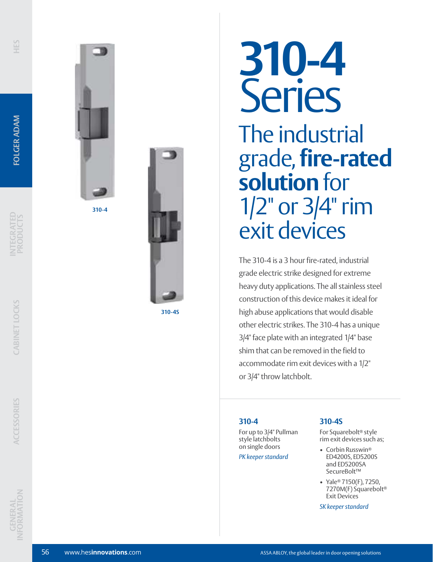

**310-4**



**310-4S**

# **310-4** Series The industrial grade, **fire-rated solution** for 1/2" or 3/4" rim exit devices

The 310-4 is a 3 hour fire-rated, industrial grade electric strike designed for extreme heavy duty applications. The all stainless steel construction of this device makes it ideal for high abuse applications that would disable other electric strikes. The 310-4 has a unique 3/4" face plate with an integrated 1/4" base shim that can be removed in the field to accommodate rim exit devices with a 1/2" or 3/4" throw latchbolt.

# **310-4**

For up to 3/4" Pullman style latchbolts on single doors

*PK keeper standard*

# **310-4S**

For Squarebolt ® style rim exit devices such as;

- Corbin Russwin<sup>®</sup> ED4200S, ED5200S and ED5200SA SecureBolt™
- Yale ® 7150(F), 7250, 7270M(F) Squarebolt ® Exit Devices

*SK keeper standard*